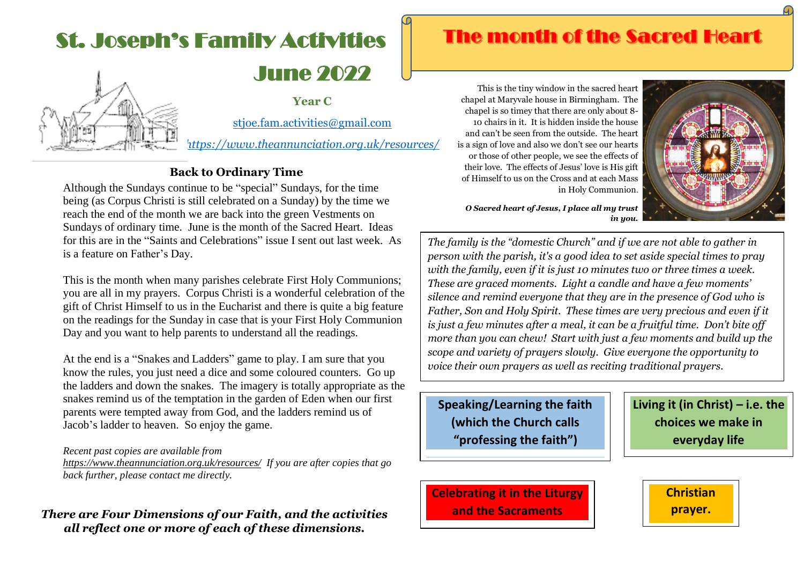# June 2022 St. Joseph's Family Activities

**Year C** 



[stjoe.fam.activities@gmail.com](mailto:stjoe.fam.activities@gmail.com)

*<https://www.theannunciation.org.uk/resources/>*

## **Back to Ordinary Time**

Although the Sundays continue to be "special" Sundays, for the time being (as Corpus Christi is still celebrated on a Sunday) by the time we reach the end of the month we are back into the green Vestments on Sundays of ordinary time. June is the month of the Sacred Heart. Ideas for this are in the "Saints and Celebrations" issue I sent out last week. As is a feature on Father's Day.

This is the month when many parishes celebrate First Holy Communions; you are all in my prayers. Corpus Christi is a wonderful celebration of the gift of Christ Himself to us in the Eucharist and there is quite a big feature on the readings for the Sunday in case that is your First Holy Communion Day and you want to help parents to understand all the readings.

At the end is a "Snakes and Ladders" game to play. I am sure that you know the rules, you just need a dice and some coloured counters. Go up the ladders and down the snakes. The imagery is totally appropriate as the snakes remind us of the temptation in the garden of Eden when our first parents were tempted away from God, and the ladders remind us of Jacob's ladder to heaven. So enjoy the game.

#### *Recent past copies are available from*

*<https://www.theannunciation.org.uk/resources/>If you are after copies that go back further, please contact me directly.* 

### *There are Four Dimensions of our Faith, and the activities all reflect one or more of each of these dimensions.*

# **The month of the Sacred Heart**

This is the tiny window in the sacred heart chapel at Maryvale house in Birmingham. The chapel is so timey that there are only about 8- 10 chairs in it. It is hidden inside the house and can't be seen from the outside. The heart is a sign of love and also we don't see our hearts or those of other people, we see the effects of their love. The effects of Jesus' love is His gift of Himself to us on the Cross and at each Mass in Holy Communion.



*O Sacred heart of Jesus, I place all my trust in you.*

*The family is the "domestic Church" and if we are not able to gather in person with the parish, it's a good idea to set aside special times to pray with the family, even if it is just 10 minutes two or three times a week. These are graced moments. Light a candle and have a few moments' silence and remind everyone that they are in the presence of God who is Father, Son and Holy Spirit. These times are very precious and even if it is just a few minutes after a meal, it can be a fruitful time. Don't bite off more than you can chew! Start with just a few moments and build up the scope and variety of prayers slowly. Give everyone the opportunity to voice their own prayers as well as reciting traditional prayers.* 

**Speaking/Learning the faith (which the Church calls "professing the faith")**

**Living it (in Christ) – i.e. the choices we make in everyday life**

**Celebrating it in the Liturgy and the Sacraments**

**Christian prayer.**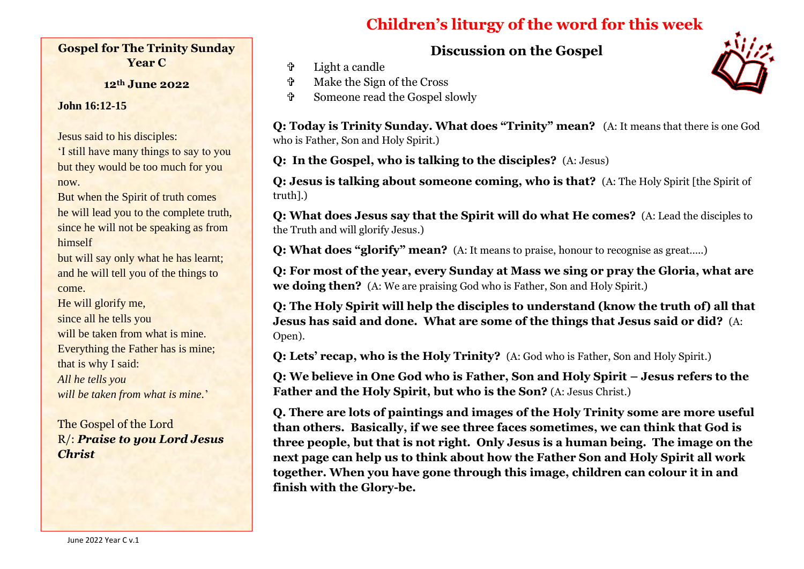# **Children's liturgy of the word for this week**

**Discussion on the Gospel**

Light a candle

- Make the Sign of the Cross
- Someone read the Gospel slowly

**Q: Today is Trinity Sunday. What does "Trinity" mean?** (A: It means that there is one God who is Father, Son and Holy Spirit.)

**Q: In the Gospel, who is talking to the disciples?** (A: Jesus)

**Q: Jesus is talking about someone coming, who is that?** (A: The Holy Spirit [the Spirit of truth].)

**Q: What does Jesus say that the Spirit will do what He comes?** (A: Lead the disciples to the Truth and will glorify Jesus.)

**Q: What does "glorify" mean?** (A: It means to praise, honour to recognise as great…..)

**Q: For most of the year, every Sunday at Mass we sing or pray the Gloria, what are we doing then?** (A: We are praising God who is Father, Son and Holy Spirit.)

**Q: The Holy Spirit will help the disciples to understand (know the truth of) all that Jesus has said and done. What are some of the things that Jesus said or did?** (A: Open).

**Q: Lets' recap, who is the Holy Trinity?** (A: God who is Father, Son and Holy Spirit.)

**Q: We believe in One God who is Father, Son and Holy Spirit – Jesus refers to the Father and the Holy Spirit, but who is the Son?** (A: Jesus Christ.)

**Q. There are lots of paintings and images of the Holy Trinity some are more useful than others. Basically, if we see three faces sometimes, we can think that God is three people, but that is not right. Only Jesus is a human being. The image on the next page can help us to think about how the Father Son and Holy Spirit all work together. When you have gone through this image, children can colour it in and finish with the Glory-be.**



**12th June 2022**

**John 16:12-15**

Jesus said to his disciples:

'I still have many things to say to you but they would be too much for you now.

But when the Spirit of truth comes he will lead you to the complete truth, since he will not be speaking as from himself

but will say only what he has learnt; and he will tell you of the things to come.

He will glorify me, since all he tells you will be taken from what is mine. Everything the Father has is mine; that is why I said: *All he tells you will be taken from what is mine.*'

The Gospel of the Lord R/: *Praise to you Lord Jesus Christ* 

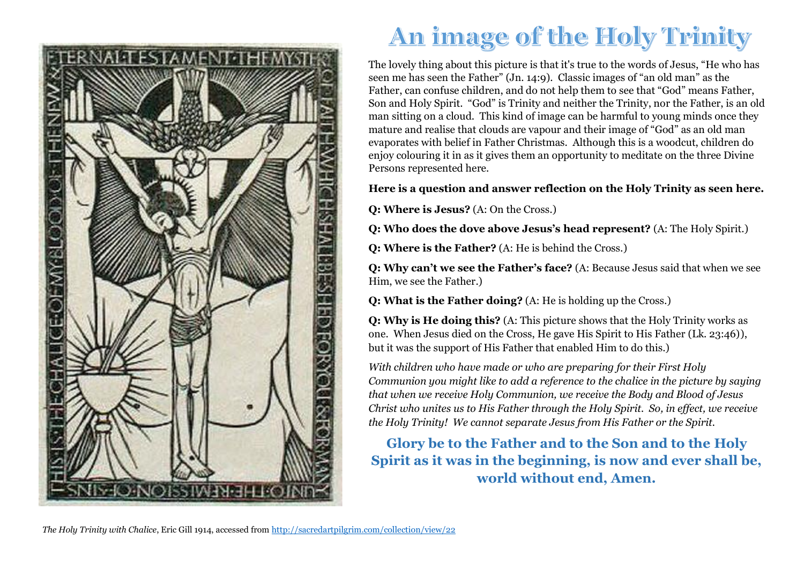

# An image of the Holy Trinity

The lovely thing about this picture is that it's true to the words of Jesus, "He who has seen me has seen the Father" (Jn. 14:9). Classic images of "an old man" as the Father, can confuse children, and do not help them to see that "God" means Father, Son and Holy Spirit. "God" is Trinity and neither the Trinity, nor the Father, is an old man sitting on a cloud. This kind of image can be harmful to young minds once they mature and realise that clouds are vapour and their image of "God" as an old man evaporates with belief in Father Christmas. Although this is a woodcut, children do enjoy colouring it in as it gives them an opportunity to meditate on the three Divine Persons represented here.

#### **Here is a question and answer reflection on the Holy Trinity as seen here.**

**Q: Where is Jesus?** (A: On the Cross*.*)

**Q: Who does the dove above Jesus's head represent?** (A: The Holy Spirit.)

**Q: Where is the Father?** (A: He is behind the Cross*.*)

**Q: Why can't we see the Father's face?** (A: Because Jesus said that when we see Him, we see the Father.)

**Q: What is the Father doing?** (A: He is holding up the Cross*.*)

**Q: Why is He doing this?** (A: This picture shows that the Holy Trinity works as one. When Jesus died on the Cross, He gave His Spirit to His Father (Lk. 23:46)), but it was the support of His Father that enabled Him to do this.)

*With children who have made or who are preparing for their First Holy Communion you might like to add a reference to the chalice in the picture by saying that when we receive Holy Communion, we receive the Body and Blood of Jesus Christ who unites us to His Father through the Holy Spirit. So, in effect, we receive the Holy Trinity! We cannot separate Jesus from His Father or the Spirit.*

**Glory be to the Father and to the Son and to the Holy Spirit as it was in the beginning, is now and ever shall be, world without end, Amen.**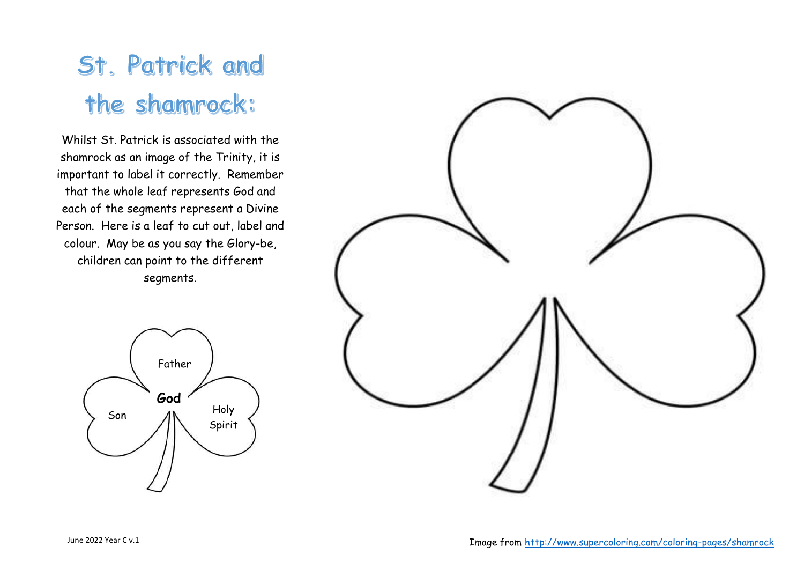# St. Patrick and the shamrock:

Whilst St. Patrick is associated with the shamrock as an image of the Trinity, it is important to label it correctly. Remember that the whole leaf represents God and each of the segments represent a Divine Person. Here is a leaf to cut out, label and colour. May be as you say the Glory-be, children can point to the different segments.



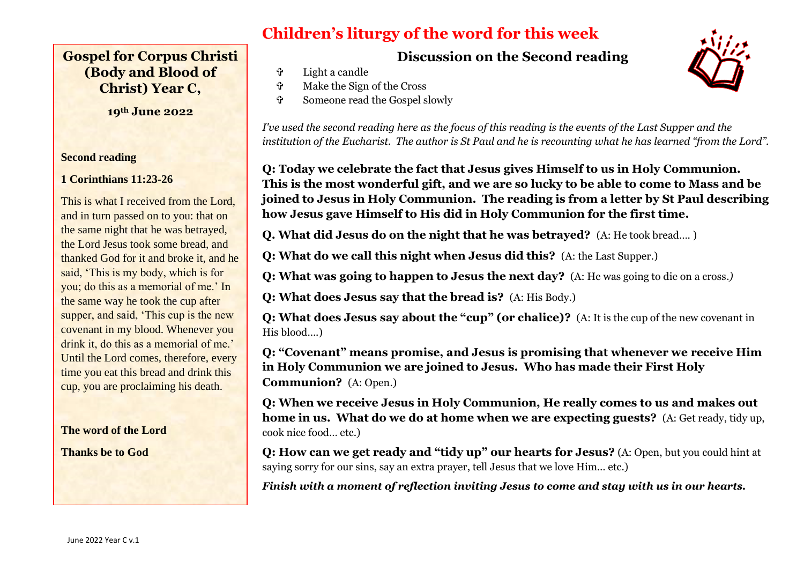## **Gospel for Corpus Christi (Body and Blood of Christ) Year C,**

**19th June 2022**

#### **Second reading**

#### **1 Corinthians 11:23-26**

This is what I received from the Lord, and in turn passed on to you: that on the same night that he was betrayed, the Lord Jesus took some bread, and thanked God for it and broke it, and he said, 'This is my body, which is for you; do this as a memorial of me.' In the same way he took the cup after supper, and said, 'This cup is the new covenant in my blood. Whenever you drink it, do this as a memorial of me.' Until the Lord comes, therefore, every time you eat this bread and drink this cup, you are proclaiming his death.

#### **The word of the Lord**

**Thanks be to God** 

# **Children's liturgy of the word for this week**

**Discussion on the Second reading**

Light a candle

- Make the Sign of the Cross
- Someone read the Gospel slowly

*I've used the second reading here as the focus of this reading is the events of the Last Supper and the institution of the Eucharist. The author is St Paul and he is recounting what he has learned "from the Lord".*

**Q: Today we celebrate the fact that Jesus gives Himself to us in Holy Communion. This is the most wonderful gift, and we are so lucky to be able to come to Mass and be joined to Jesus in Holy Communion. The reading is from a letter by St Paul describing how Jesus gave Himself to His did in Holy Communion for the first time.**

**Q. What did Jesus do on the night that he was betrayed?** (A: He took bread…. )

**Q: What do we call this night when Jesus did this?** (A: the Last Supper.)

**Q: What was going to happen to Jesus the next day?** (A: He was going to die on a cross.*)*

**Q: What does Jesus say that the bread is?** (A: His Body.)

**Q: What does Jesus say about the "cup" (or chalice)?** (A: It is the cup of the new covenant in His blood….)

**Q: "Covenant" means promise, and Jesus is promising that whenever we receive Him in Holy Communion we are joined to Jesus. Who has made their First Holy Communion?** (A: Open.)

**Q: When we receive Jesus in Holy Communion, He really comes to us and makes out home in us. What do we do at home when we are expecting guests?** (A: Get ready, tidy up, cook nice food… etc.)

**Q: How can we get ready and "tidy up" our hearts for Jesus?** (A: Open, but you could hint at saying sorry for our sins, say an extra prayer, tell Jesus that we love Him… etc.)

*Finish with a moment of reflection inviting Jesus to come and stay with us in our hearts.*

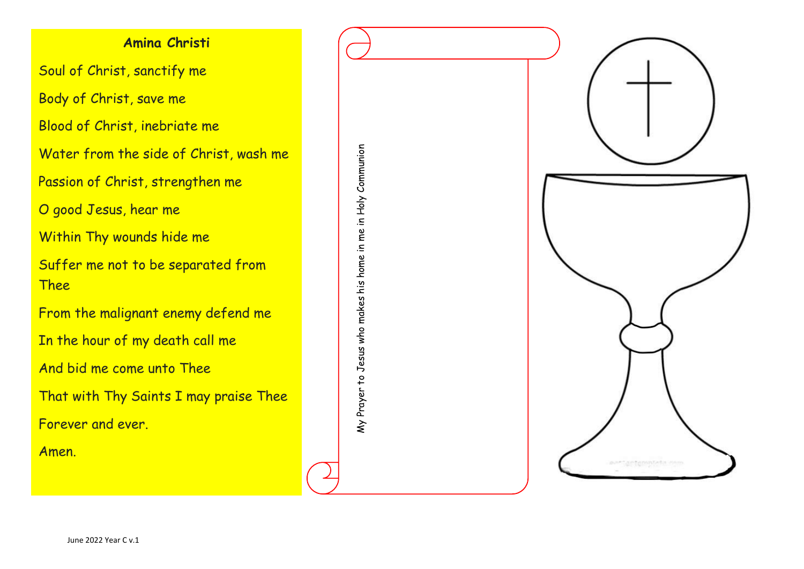## **Amina Christi**

Soul of Christ, sanctify me

Body of Christ, save me

Blood of Christ, inebriate me

Water from the side of Christ, wash me

Passion of Christ, strengthen me

O good Jesus, hear me

Within Thy wounds hide me

Suffer me not to be separated from Thee

My Prayer to Jesus who makes his home in me in Holy Communion

My Prayer to Jesus who makes his home in me

in Holy Communion

From the malignant enemy defend me

In the hour of my death call me

And bid me come unto Thee

That with Thy Saints I may praise Thee

Forever and ever.

Amen.



June 2022 Year C v.1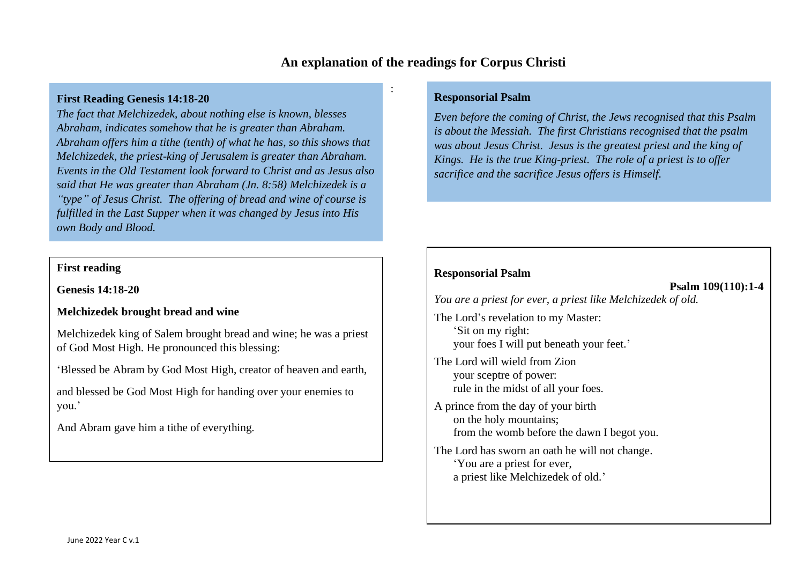### **An explanation of the readings for Corpus Christi**

:

#### **First Reading Genesis 14:18-20**

*The fact that Melchizedek, about nothing else is known, blesses Abraham, indicates somehow that he is greater than Abraham. Abraham offers him a tithe (tenth) of what he has, so this shows that Melchizedek, the priest-king of Jerusalem is greater than Abraham. Events in the Old Testament look forward to Christ and as Jesus also said that He was greater than Abraham (Jn. 8:58) Melchizedek is a "type" of Jesus Christ. The offering of bread and wine of course is fulfilled in the Last Supper when it was changed by Jesus into His own Body and Blood.*

#### **First reading**

**Genesis 14:18-20**

#### **Melchizedek brought bread and wine**

Melchizedek king of Salem brought bread and wine; he was a priest of God Most High. He pronounced this blessing:

'Blessed be Abram by God Most High, creator of heaven and earth,

and blessed be God Most High for handing over your enemies to you.'

And Abram gave him a tithe of everything.

#### **Responsorial Psalm**

*Even before the coming of Christ, the Jews recognised that this Psalm is about the Messiah. The first Christians recognised that the psalm was about Jesus Christ. Jesus is the greatest priest and the king of Kings. He is the true King-priest. The role of a priest is to offer sacrifice and the sacrifice Jesus offers is Himself.* 

#### **Responsorial Psalm**

#### **Psalm 109(110):1-4**

*You are a priest for ever, a priest like Melchizedek of old.*

The Lord's revelation to my Master: 'Sit on my right: your foes I will put beneath your feet.'

The Lord will wield from Zion your sceptre of power: rule in the midst of all your foes.

A prince from the day of your birth on the holy mountains; from the womb before the dawn I begot you.

The Lord has sworn an oath he will not change. 'You are a priest for ever, a priest like Melchizedek of old.'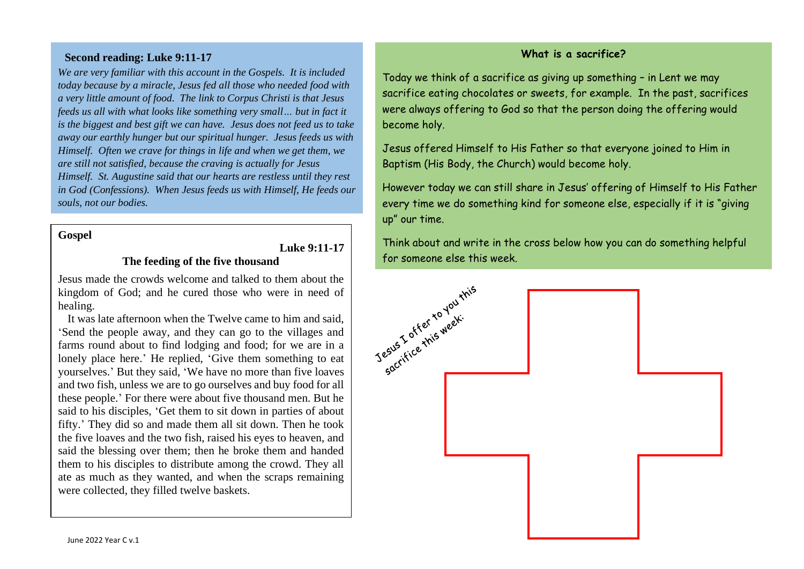#### **Second reading: Luke 9:11-17**

*We are very familiar with this account in the Gospels. It is included today because by a miracle, Jesus fed all those who needed food with a very little amount of food. The link to Corpus Christi is that Jesus feeds us all with what looks like something very small… but in fact it is the biggest and best gift we can have. Jesus does not feed us to take away our earthly hunger but our spiritual hunger. Jesus feeds us with Himself. Often we crave for things in life and when we get them, we are still not satisfied, because the craving is actually for Jesus Himself. St. Augustine said that our hearts are restless until they rest in God (Confessions). When Jesus feeds us with Himself, He feeds our souls, not our bodies.*

#### **Gospel**

#### **Luke 9:11-17**

#### **The feeding of the five thousand**

Jesus made the crowds welcome and talked to them about the kingdom of God; and he cured those who were in need of healing.

It was late afternoon when the Twelve came to him and said, 'Send the people away, and they can go to the villages and farms round about to find lodging and food; for we are in a lonely place here.' He replied, 'Give them something to eat yourselves.' But they said, 'We have no more than five loaves and two fish, unless we are to go ourselves and buy food for all these people.' For there were about five thousand men. But he said to his disciples, 'Get them to sit down in parties of about fifty.' They did so and made them all sit down. Then he took the five loaves and the two fish, raised his eyes to heaven, and said the blessing over them; then he broke them and handed them to his disciples to distribute among the crowd. They all ate as much as they wanted, and when the scraps remaining were collected, they filled twelve baskets.

#### **What is a sacrifice?**

Today we think of a sacrifice as giving up something – in Lent we may sacrifice eating chocolates or sweets, for example. In the past, sacrifices were always offering to God so that the person doing the offering would become holy.

Jesus offered Himself to His Father so that everyone joined to Him in Baptism (His Body, the Church) would become holy.

However today we can still share in Jesus' offering of Himself to His Father every time we do something kind for someone else, especially if it is "giving up" our time.

Think about and write in the cross below how you can do something helpful for someone else this week.

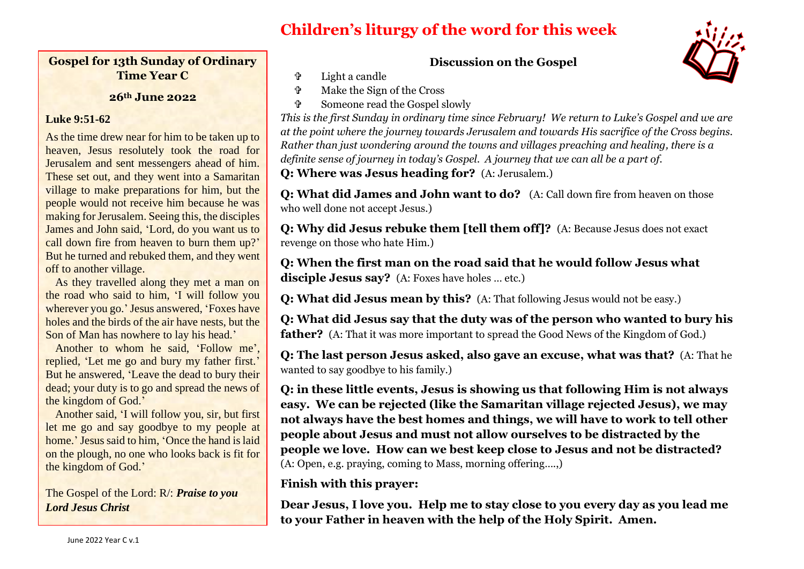# **Children's liturgy of the word for this week**

#### **Gospel for 13th Sunday of Ordinary Time Year C**

#### **26th June 2022**

#### **Luke 9:51-62**

As the time drew near for him to be taken up to heaven, Jesus resolutely took the road for Jerusalem and sent messengers ahead of him. These set out, and they went into a Samaritan village to make preparations for him, but the people would not receive him because he was making for Jerusalem. Seeing this, the disciples James and John said, 'Lord, do you want us to call down fire from heaven to burn them up?' But he turned and rebuked them, and they went off to another village.

As they travelled along they met a man on the road who said to him, 'I will follow you wherever you go.' Jesus answered, 'Foxes have holes and the birds of the air have nests, but the Son of Man has nowhere to lay his head.'

Another to whom he said, 'Follow me', replied, 'Let me go and bury my father first.' But he answered, 'Leave the dead to bury their dead; your duty is to go and spread the news of the kingdom of God.'

Another said, 'I will follow you, sir, but first let me go and say goodbye to my people at home.' Jesus said to him, 'Once the hand is laid on the plough, no one who looks back is fit for the kingdom of God.'

The Gospel of the Lord: R/: *Praise to you Lord Jesus Christ* 

#### **Discussion on the Gospel**

- Light a candle
- Make the Sign of the Cross
- Someone read the Gospel slowly



*This is the first Sunday in ordinary time since February! We return to Luke's Gospel and we are at the point where the journey towards Jerusalem and towards His sacrifice of the Cross begins. Rather than just wondering around the towns and villages preaching and healing, there is a definite sense of journey in today's Gospel. A journey that we can all be a part of.* **Q: Where was Jesus heading for?** (A: Jerusalem.)

**Q: What did James and John want to do?** (A: Call down fire from heaven on those who well done not accept Jesus.)

**Q: Why did Jesus rebuke them [tell them off]?** (A: Because Jesus does not exact revenge on those who hate Him.)

**Q: When the first man on the road said that he would follow Jesus what disciple Jesus say?** (A: Foxes have holes … etc.)

**Q: What did Jesus mean by this?** (A: That following Jesus would not be easy.)

**Q: What did Jesus say that the duty was of the person who wanted to bury his father?** (A: That it was more important to spread the Good News of the Kingdom of God.)

**Q: The last person Jesus asked, also gave an excuse, what was that?** (A: That he wanted to say goodbye to his family.)

**Q: in these little events, Jesus is showing us that following Him is not always easy. We can be rejected (like the Samaritan village rejected Jesus), we may not always have the best homes and things, we will have to work to tell other people about Jesus and must not allow ourselves to be distracted by the people we love. How can we best keep close to Jesus and not be distracted?**  (A: Open, e.g. praying, coming to Mass, morning offering….,)

**Finish with this prayer:**

**Dear Jesus, I love you. Help me to stay close to you every day as you lead me to your Father in heaven with the help of the Holy Spirit. Amen.**